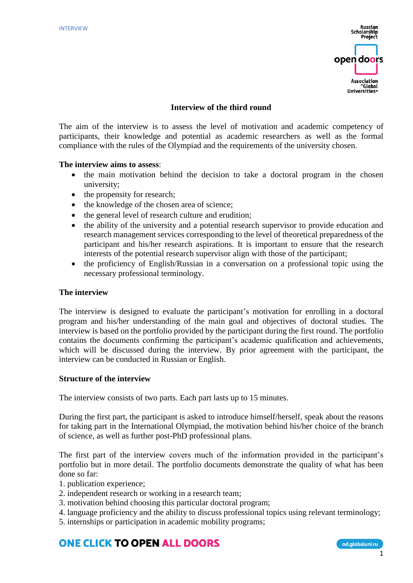

# **Interview of the third round**

The aim of the interview is to assess the level of motivation and academic competency of participants, their knowledge and potential as academic researchers as well as the formal compliance with the rules of the Olympiad and the requirements of the university chosen.

### **The interview aims to assess**:

- the main motivation behind the decision to take a doctoral program in the chosen university;
- the propensity for research;
- the knowledge of the chosen area of science;
- the general level of research culture and erudition;
- the ability of the university and a potential research supervisor to provide education and research management services corresponding to the level of theoretical preparedness of the participant and his/her research aspirations. It is important to ensure that the research interests of the potential research supervisor align with those of the participant;
- the proficiency of English/Russian in a conversation on a professional topic using the necessary professional terminology.

#### **The interview**

The interview is designed to evaluate the participant's motivation for enrolling in a doctoral program and his/her understanding of the main goal and objectives of doctoral studies. The interview is based on the portfolio provided by the participant during the first round. The portfolio contains the documents confirming the participant's academic qualification and achievements, which will be discussed during the interview. By prior agreement with the participant, the interview can be conducted in Russian or English.

### **Structure of the interview**

The interview consists of two parts. Each part lasts up to 15 minutes.

During the first part, the participant is asked to introduce himself/herself, speak about the reasons for taking part in the International Olympiad, the motivation behind his/her choice of the branch of science, as well as further post-PhD professional plans.

The first part of the interview covers much of the information provided in the participant's portfolio but in more detail. The portfolio documents demonstrate the quality of what has been done so far:

- 1. publication experience;
- 2. independent research or working in a research team;
- 3. motivation behind choosing this particular doctoral program;
- 4. language proficiency and the ability to discuss professional topics using relevant terminology;
- 5. internships or participation in academic mobility programs;

# **ONE CLICK TO OPEN ALL DOORS**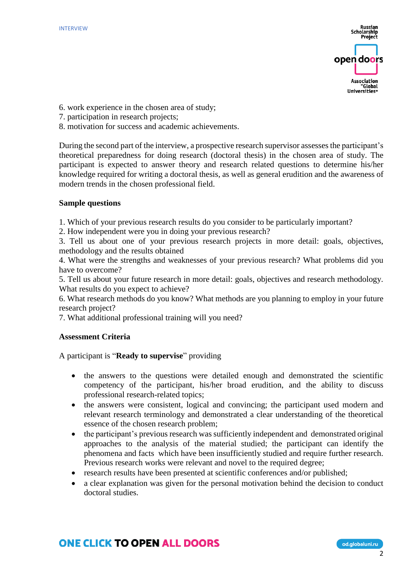

- 6. work experience in the chosen area of study;
- 7. participation in research projects;
- 8. motivation for success and academic achievements.

During the second part of the interview, a prospective research supervisor assesses the participant's theoretical preparedness for doing research (doctoral thesis) in the chosen area of study. The participant is expected to answer theory and research related questions to determine his/her knowledge required for writing a doctoral thesis, as well as general erudition and the awareness of modern trends in the chosen professional field.

### **Sample questions**

1. Which of your previous research results do you consider to be particularly important?

2. How independent were you in doing your previous research?

3. Tell us about one of your previous research projects in more detail: goals, objectives, methodology and the results obtained

4. What were the strengths and weaknesses of your previous research? What problems did you have to overcome?

5. Tell us about your future research in more detail: goals, objectives and research methodology. What results do you expect to achieve?

6. What research methods do you know? What methods are you planning to employ in your future research project?

7. What additional professional training will you need?

### **Assessment Criteria**

A participant is "**Ready to supervise**" providing

- the answers to the questions were detailed enough and demonstrated the scientific competency of the participant, his/her broad erudition, and the ability to discuss professional research-related topics;
- the answers were consistent, logical and convincing; the participant used modern and relevant research terminology and demonstrated a clear understanding of the theoretical essence of the chosen research problem;
- the participant's previous research was sufficiently independent and demonstrated original approaches to the analysis of the material studied; the participant can identify the phenomena and facts which have been insufficiently studied and require further research. Previous research works were relevant and novel to the required degree;
- research results have been presented at scientific conferences and/or published;
- a clear explanation was given for the personal motivation behind the decision to conduct doctoral studies.

# **ONE CLICK TO OPEN ALL DOORS**